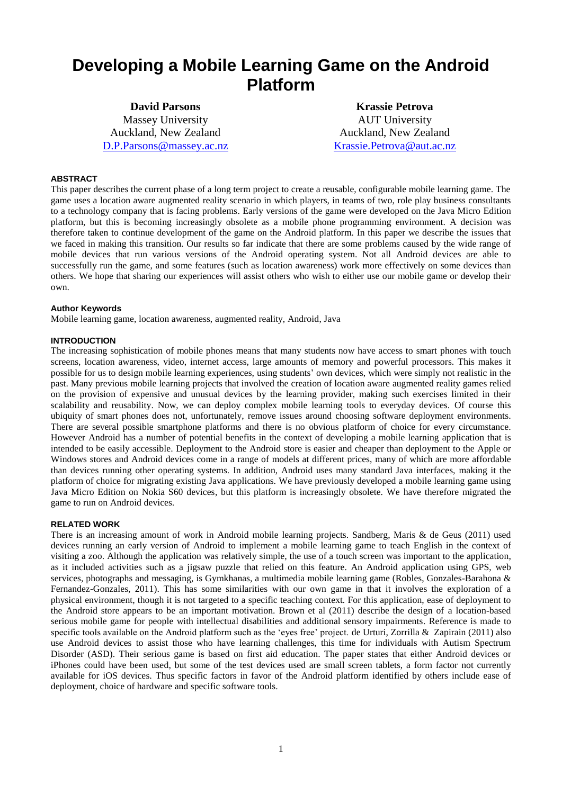# **Developing a Mobile Learning Game on the Android Platform**

**David Parsons** Massey University Auckland, New Zealand [D.P.Parsons@massey.ac.nz](mailto:D.P.Parsons@massey.ac.nz)

**Krassie Petrova** AUT University Auckland, New Zealand [Krassie.Petrova@aut.ac.nz](mailto:Krassie.Petrova@aut.ac.nz)

# **ABSTRACT**

This paper describes the current phase of a long term project to create a reusable, configurable mobile learning game. The game uses a location aware augmented reality scenario in which players, in teams of two, role play business consultants to a technology company that is facing problems. Early versions of the game were developed on the Java Micro Edition platform, but this is becoming increasingly obsolete as a mobile phone programming environment. A decision was therefore taken to continue development of the game on the Android platform. In this paper we describe the issues that we faced in making this transition. Our results so far indicate that there are some problems caused by the wide range of mobile devices that run various versions of the Android operating system. Not all Android devices are able to successfully run the game, and some features (such as location awareness) work more effectively on some devices than others. We hope that sharing our experiences will assist others who wish to either use our mobile game or develop their own.

#### **Author Keywords**

Mobile learning game, location awareness, augmented reality, Android, Java

### **INTRODUCTION**

The increasing sophistication of mobile phones means that many students now have access to smart phones with touch screens, location awareness, video, internet access, large amounts of memory and powerful processors. This makes it possible for us to design mobile learning experiences, using students' own devices, which were simply not realistic in the past. Many previous mobile learning projects that involved the creation of location aware augmented reality games relied on the provision of expensive and unusual devices by the learning provider, making such exercises limited in their scalability and reusability. Now, we can deploy complex mobile learning tools to everyday devices. Of course this ubiquity of smart phones does not, unfortunately, remove issues around choosing software deployment environments. There are several possible smartphone platforms and there is no obvious platform of choice for every circumstance. However Android has a number of potential benefits in the context of developing a mobile learning application that is intended to be easily accessible. Deployment to the Android store is easier and cheaper than deployment to the Apple or Windows stores and Android devices come in a range of models at different prices, many of which are more affordable than devices running other operating systems. In addition, Android uses many standard Java interfaces, making it the platform of choice for migrating existing Java applications. We have previously developed a mobile learning game using Java Micro Edition on Nokia S60 devices, but this platform is increasingly obsolete. We have therefore migrated the game to run on Android devices.

#### **RELATED WORK**

There is an increasing amount of work in Android mobile learning projects. Sandberg, Maris & de Geus (2011) used devices running an early version of Android to implement a mobile learning game to teach English in the context of visiting a zoo. Although the application was relatively simple, the use of a touch screen was important to the application, as it included activities such as a jigsaw puzzle that relied on this feature. An Android application using GPS, web services, photographs and messaging, is Gymkhanas, a multimedia mobile learning game (Robles, Gonzales-Barahona & Fernandez-Gonzales, 2011). This has some similarities with our own game in that it involves the exploration of a physical environment, though it is not targeted to a specific teaching context. For this application, ease of deployment to the Android store appears to be an important motivation. Brown et al (2011) describe the design of a location-based serious mobile game for people with intellectual disabilities and additional sensory impairments. Reference is made to specific tools available on the Android platform such as the 'eyes free' project. de Urturi, Zorrilla & Zapirain (2011) also use Android devices to assist those who have learning challenges, this time for individuals with Autism Spectrum Disorder (ASD). Their serious game is based on first aid education. The paper states that either Android devices or iPhones could have been used, but some of the test devices used are small screen tablets, a form factor not currently available for iOS devices. Thus specific factors in favor of the Android platform identified by others include ease of deployment, choice of hardware and specific software tools.